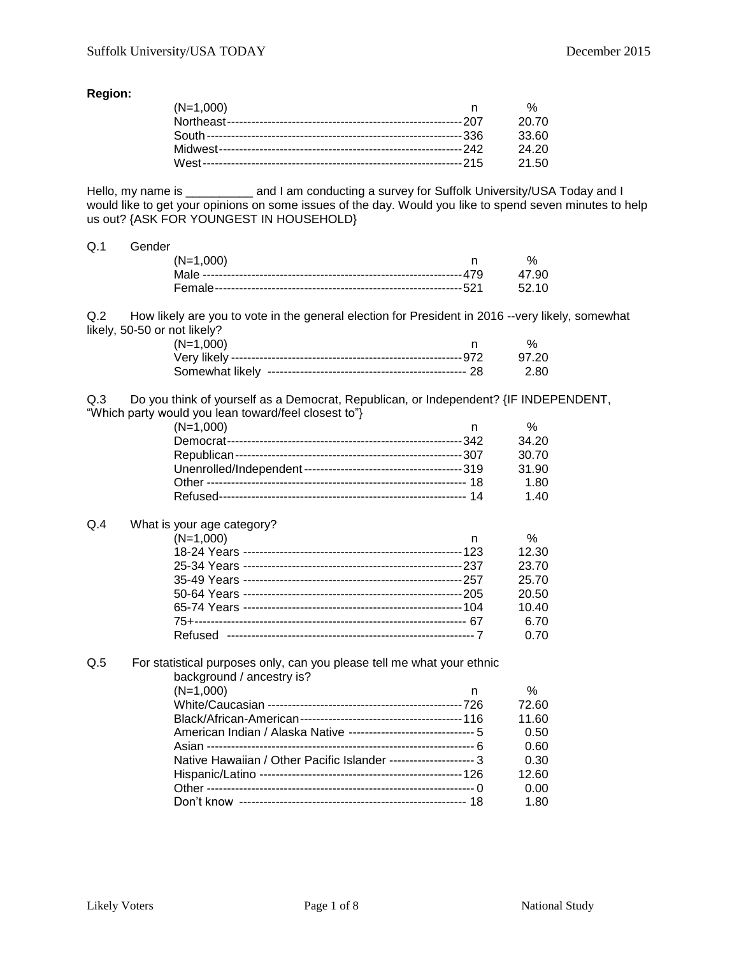#### **Region:**

| $(N=1,000)$ | %     |
|-------------|-------|
|             | 20.70 |
|             | 33.60 |
|             | 24.20 |
|             | 21.50 |

Hello, my name is \_\_\_\_\_\_\_\_\_\_ and I am conducting a survey for Suffolk University/USA Today and I would like to get your opinions on some issues of the day. Would you like to spend seven minutes to help us out? {ASK FOR YOUNGEST IN HOUSEHOLD}

#### Q.1 Gender

| $(N=1,000)$ |  |
|-------------|--|
|             |  |
|             |  |

Q.2 How likely are you to vote in the general election for President in 2016 --very likely, somewhat likely, 50-50 or not likely?

| $(N=1,000)$ |        |
|-------------|--------|
|             | 97.20  |
|             | - 2.80 |

Q.3 Do you think of yourself as a Democrat, Republican, or Independent? {IF INDEPENDENT, "Which party would you lean toward/feel closest to"}

| alu you icari towaru/icci cioscot to p |   |       |
|----------------------------------------|---|-------|
| $(N=1,000)$                            | n | ℅     |
|                                        |   | 34.20 |
|                                        |   | 30.70 |
|                                        |   | 31.90 |
|                                        |   | 1.80  |
|                                        |   | 1.40  |
|                                        |   |       |

## Q.4 What is your age category?

| $(N=1,000)$ | $\%$  |
|-------------|-------|
|             | 12.30 |
|             | 23.70 |
|             | 25.70 |
|             | 20.50 |
|             | 10.40 |
|             | 6.70  |
|             | 0.70  |

Other ------------------------------------------------------------------ 0 0.00 Don't know -------------------------------------------------------- 18 1.80

#### Q.5 For statistical purposes only, can you please tell me what your ethnic background / ancestry is?  $(N=1,000)$  n % White/Caucasian ------------------------------------------------726 72.60 Black/African-American----------------------------------------116 11.60 American Indian / Alaska Native --------------------------------- 5 0.50 Asian ------------------------------------------------------------------ 6 0.60 Native Hawaiian / Other Pacific Islander --------------------- 3 0.30 Hispanic/Latino --------------------------------------------------126 12.60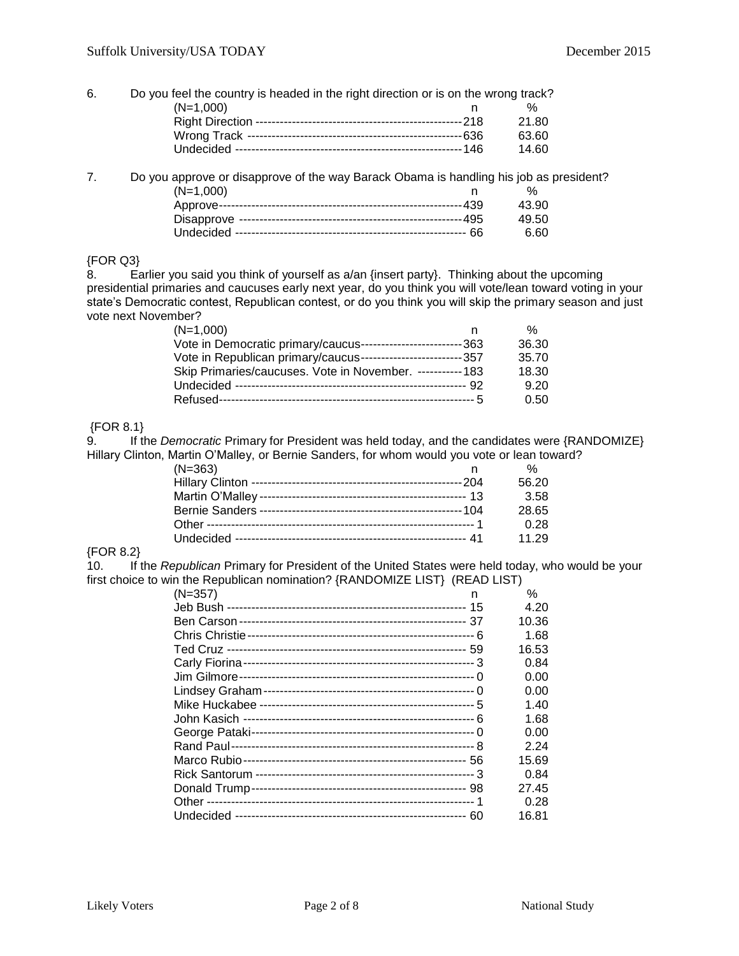#### 6. Do you feel the country is headed in the right direction or is on the wrong track? (N=1,000) n % Right Direction ---------------------------------------------------218 21.80 Wrong Track -----------------------------------------------------636 63.60 Undecided --------------------------------------------------------146 14.60

7. Do you approve or disapprove of the way Barack Obama is handling his job as president? (N=1,000) n % Approve------------------------------------------------------------439 43.90 Disapprove -------------------------------------------------------495 49.50 Undecided --------------------------------------------------------- 66 6.60

### {FOR Q3}

8. Earlier you said you think of yourself as a/an {insert party}. Thinking about the upcoming presidential primaries and caucuses early next year, do you think you will vote/lean toward voting in your state's Democratic contest, Republican contest, or do you think you will skip the primary season and just vote next November?

| $(N=1,000)$                                                    | %     |
|----------------------------------------------------------------|-------|
| Vote in Democratic primary/caucus--------------------------363 | 36.30 |
| Vote in Republican primary/caucus--------------------------357 | 35.70 |
| Skip Primaries/caucuses. Vote in November. ----------- 183     | 18.30 |
|                                                                | 9.20  |
|                                                                | 0.50  |

#### {FOR 8.1}

9. If the *Democratic* Primary for President was held today, and the candidates were {RANDOMIZE} Hillary Clinton, Martin O'Malley, or Bernie Sanders, for whom would you vote or lean toward?

| $(N=363)$ | %     |
|-----------|-------|
|           | 56.20 |
|           | 3.58  |
|           | 28.65 |
|           | 0.28  |
|           | 11.29 |

#### {FOR 8.2}

10. If the *Republican* Primary for President of the United States were held today, who would be your first choice to win the Republican nomination? {RANDOMIZE LIST} (READ LIST)

| n | ℅     |
|---|-------|
|   | 4.20  |
|   | 10.36 |
|   | 1.68  |
|   | 16.53 |
|   | 0.84  |
|   | 0.00  |
|   | 0.00  |
|   | 1.40  |
|   | 1.68  |
|   | 0.00  |
|   | 2.24  |
|   | 15.69 |
|   | 0.84  |
|   | 27.45 |
|   | 0.28  |
|   | 16.81 |
|   |       |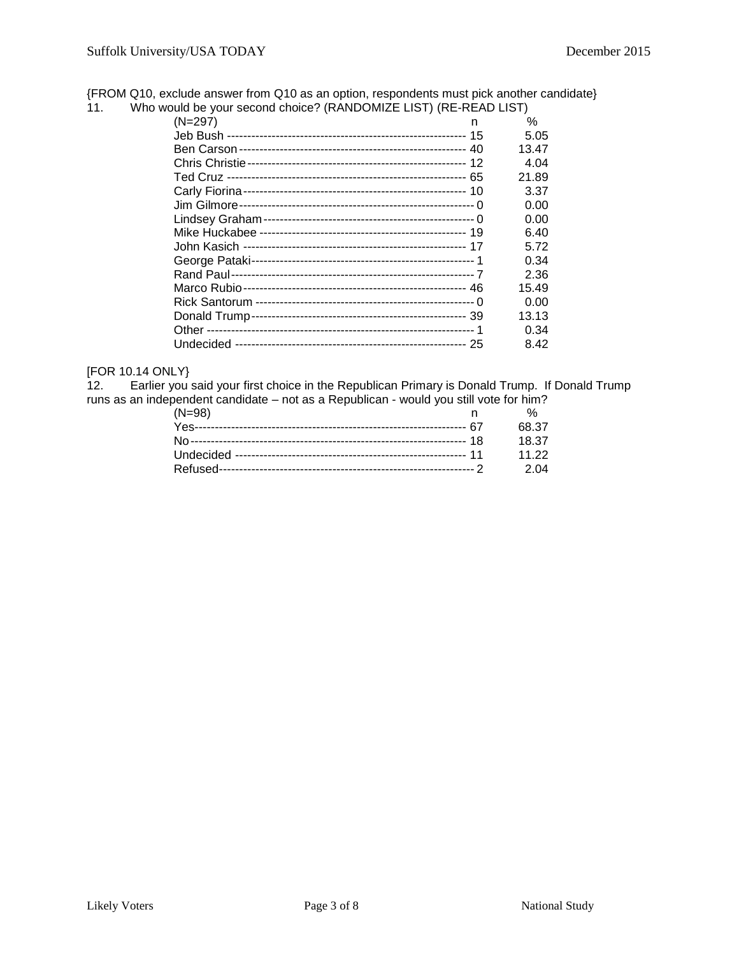{FROM Q10, exclude answer from Q10 as an option, respondents must pick another candidate}

| 11. | Who would be your second choice? (RANDOMIZE LIST) (RE-READ LIST) |       |  |
|-----|------------------------------------------------------------------|-------|--|
|     | $(N=297)$<br>n                                                   | $\%$  |  |
|     |                                                                  | 5.05  |  |
|     |                                                                  | 13.47 |  |
|     |                                                                  | 4.04  |  |
|     |                                                                  | 21.89 |  |
|     |                                                                  | 3.37  |  |
|     |                                                                  | 0.00  |  |
|     |                                                                  | 0.00  |  |
|     |                                                                  | 6.40  |  |
|     |                                                                  | 5.72  |  |
|     |                                                                  | 0.34  |  |
|     |                                                                  | 2.36  |  |
|     |                                                                  | 15.49 |  |
|     |                                                                  | 0.00  |  |
|     |                                                                  | 13.13 |  |
|     |                                                                  | 0.34  |  |
|     |                                                                  | 8.42  |  |

# [FOR 10.14 ONLY}<br>12. Earlier you :

Earlier you said your first choice in the Republican Primary is Donald Trump. If Donald Trump runs as an independent candidate – not as a Republican - would you still vote for him?

| $(N=98)$ |       |
|----------|-------|
|          | 68.37 |
|          | 18.37 |
|          | 11.22 |
|          | 2.04  |
|          |       |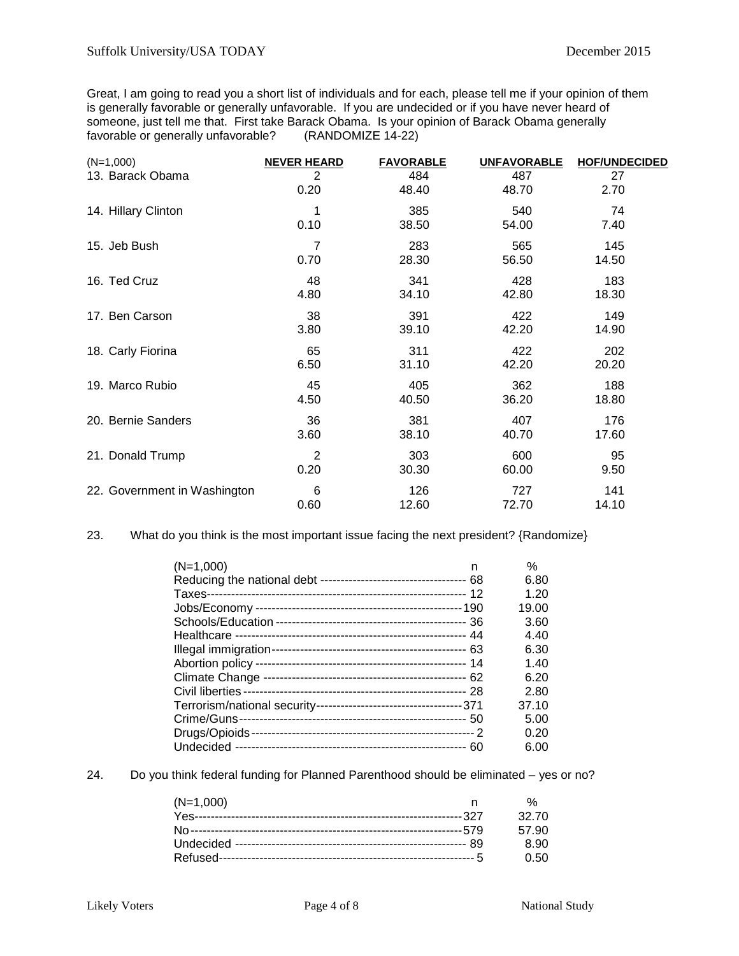Great, I am going to read you a short list of individuals and for each, please tell me if your opinion of them is generally favorable or generally unfavorable. If you are undecided or if you have never heard of someone, just tell me that. First take Barack Obama. Is your opinion of Barack Obama generally favorable or generally unfavorable? (RANDOMIZE 14-22)

| $(N=1,000)$                  | <b>NEVER HEARD</b> | <b>FAVORABLE</b> | <b>UNFAVORABLE</b> | <b>HOF/UNDECIDED</b> |
|------------------------------|--------------------|------------------|--------------------|----------------------|
| 13. Barack Obama             | 2                  | 484              | 487                | 27                   |
|                              | 0.20               | 48.40            | 48.70              | 2.70                 |
| 14. Hillary Clinton          | 1                  | 385              | 540                | 74                   |
|                              | 0.10               | 38.50            | 54.00              | 7.40                 |
| 15. Jeb Bush                 | 7                  | 283              | 565                | 145                  |
|                              | 0.70               | 28.30            | 56.50              | 14.50                |
| 16. Ted Cruz                 | 48                 | 341              | 428                | 183                  |
|                              | 4.80               | 34.10            | 42.80              | 18.30                |
| 17. Ben Carson               | 38                 | 391              | 422                | 149                  |
|                              | 3.80               | 39.10            | 42.20              | 14.90                |
| 18. Carly Fiorina            | 65                 | 311              | 422                | 202                  |
|                              | 6.50               | 31.10            | 42.20              | 20.20                |
| 19. Marco Rubio              | 45                 | 405              | 362                | 188                  |
|                              | 4.50               | 40.50            | 36.20              | 18.80                |
| 20. Bernie Sanders           | 36                 | 381              | 407                | 176                  |
|                              | 3.60               | 38.10            | 40.70              | 17.60                |
| 21. Donald Trump             | 2                  | 303              | 600                | 95                   |
|                              | 0.20               | 30.30            | 60.00              | 9.50                 |
| 22. Government in Washington | 6                  | 126              | 727                | 141                  |
|                              | 0.60               | 12.60            | 72.70              | 14.10                |

23. What do you think is the most important issue facing the next president? {Randomize}

| $(N=1,000)$ | n | $\%$  |
|-------------|---|-------|
|             |   | 6.80  |
|             |   | 1.20  |
|             |   | 19.00 |
|             |   | 3.60  |
|             |   | 4.40  |
|             |   | 6.30  |
|             |   | 1.40  |
|             |   | 6.20  |
|             |   | 2.80  |
|             |   | 37.10 |
|             |   | 5.00  |
|             |   | 0.20  |
|             |   | 6.00  |

24. Do you think federal funding for Planned Parenthood should be eliminated – yes or no?

| $(N=1,000)$ |       |
|-------------|-------|
|             | 32.70 |
|             | 57.90 |
|             | 8.90  |
|             | O 50  |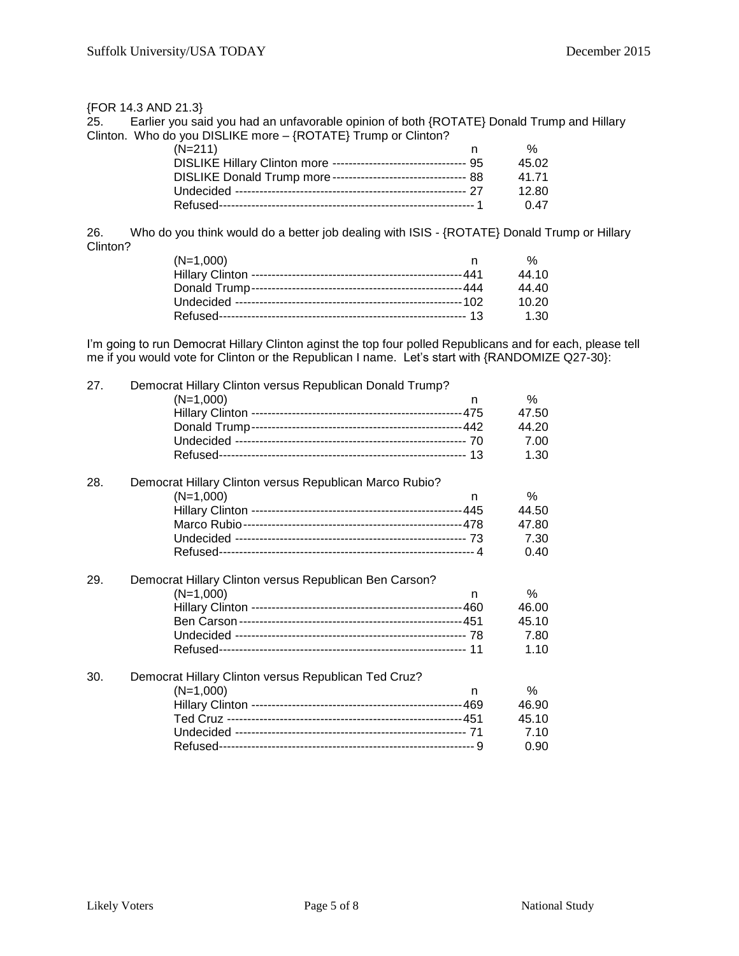{FOR 14.3 AND 21.3} Earlier you said you had an unfavorable opinion of both {ROTATE} Donald Trump and Hillary Clinton. Who do you DISLIKE more – {ROTATE} Trump or Clinton?

| $(N=211)$                                                         | %     |
|-------------------------------------------------------------------|-------|
| DISLIKE Hillary Clinton more --------------------------------- 95 | 45.02 |
| DISLIKE Donald Trump more ---------------------------------- 88   | 41 71 |
|                                                                   | 12.80 |
|                                                                   | 0.47  |

26. Who do you think would do a better job dealing with ISIS - {ROTATE} Donald Trump or Hillary Clinton?

| $(N=1,000)$ | %     |
|-------------|-------|
|             | 44.10 |
|             | 44.40 |
|             | 10.20 |
|             | 1.30  |

I'm going to run Democrat Hillary Clinton aginst the top four polled Republicans and for each, please tell me if you would vote for Clinton or the Republican I name. Let's start with {RANDOMIZE Q27-30}:

| 27. | Democrat Hillary Clinton versus Republican Donald Trump? |       |
|-----|----------------------------------------------------------|-------|
|     | $(N=1,000)$<br>n                                         | $\%$  |
|     |                                                          | 47.50 |
|     |                                                          | 44.20 |
|     |                                                          | 7.00  |
|     |                                                          | 1.30  |
|     |                                                          |       |
| 28. | Democrat Hillary Clinton versus Republican Marco Rubio?  |       |
|     | $(N=1,000)$<br>n                                         | %     |
|     |                                                          | 44.50 |
|     |                                                          | 47.80 |
|     |                                                          | 7.30  |
|     |                                                          | 0.40  |
| 29. | Democrat Hillary Clinton versus Republican Ben Carson?   |       |
|     | $(N=1,000)$<br>n                                         | $\%$  |
|     |                                                          | 46.00 |
|     |                                                          | 45.10 |
|     |                                                          | 7.80  |
|     |                                                          | 1.10  |
|     |                                                          |       |
| 30. | Democrat Hillary Clinton versus Republican Ted Cruz?     |       |
|     | $(N=1,000)$<br>n                                         | %     |
|     |                                                          | 46.90 |
|     |                                                          | 45.10 |
|     |                                                          | 7.10  |
|     |                                                          | 0.90  |
|     |                                                          |       |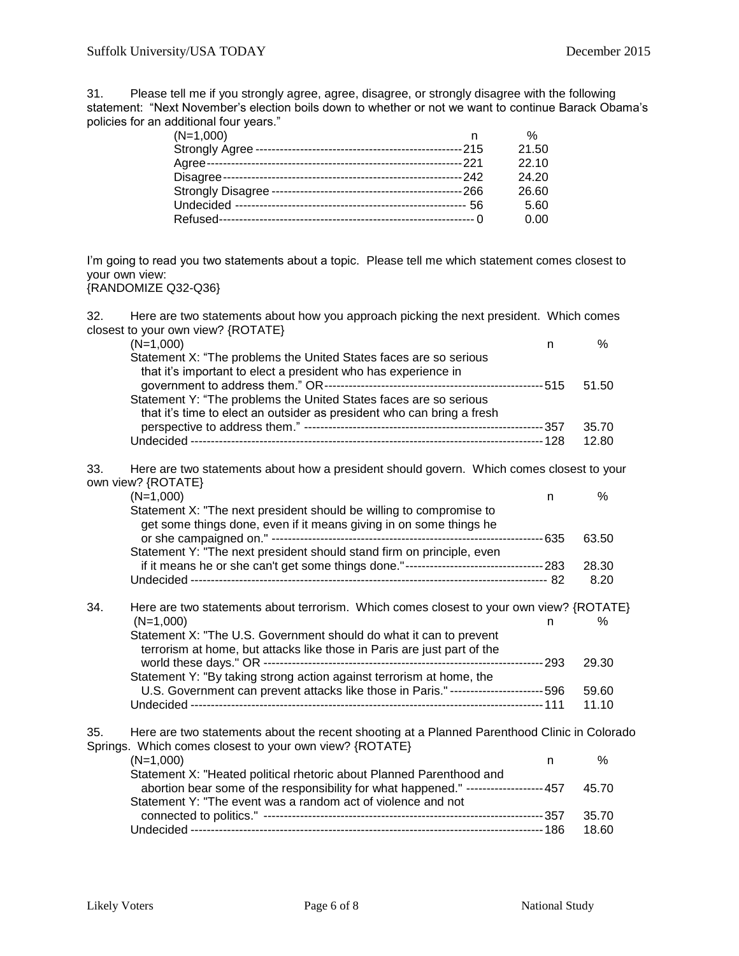31. Please tell me if you strongly agree, agree, disagree, or strongly disagree with the following statement: "Next November's election boils down to whether or not we want to continue Barack Obama's policies for an additional four years."

|       | %     |
|-------|-------|
| -215  | 21.50 |
| .221  | 22.10 |
| --242 | 24.20 |
| 266 · | 26.60 |
| 56    | 5.60  |
|       | 0.00  |
|       |       |

I'm going to read you two statements about a topic. Please tell me which statement comes closest to your own view:

# {RANDOMIZE Q32-Q36}

| 32. | Here are two statements about how you approach picking the next president. Which comes       |    |       |
|-----|----------------------------------------------------------------------------------------------|----|-------|
|     | closest to your own view? {ROTATE}                                                           |    |       |
|     | $(N=1,000)$                                                                                  | n. | %     |
|     | Statement X: "The problems the United States faces are so serious                            |    |       |
|     | that it's important to elect a president who has experience in                               |    |       |
|     |                                                                                              |    | 51.50 |
|     | Statement Y: "The problems the United States faces are so serious                            |    |       |
|     | that it's time to elect an outsider as president who can bring a fresh                       |    |       |
|     |                                                                                              |    | 35.70 |
|     |                                                                                              |    | 12.80 |
|     |                                                                                              |    |       |
| 33. | Here are two statements about how a president should govern. Which comes closest to your     |    |       |
|     | own view? {ROTATE}                                                                           |    |       |
|     | $(N=1,000)$                                                                                  | n. | %     |
|     | Statement X: "The next president should be willing to compromise to                          |    |       |
|     | get some things done, even if it means giving in on some things he                           |    |       |
|     |                                                                                              |    | 63.50 |
|     | Statement Y: "The next president should stand firm on principle, even                        |    |       |
|     |                                                                                              |    | 28.30 |
|     |                                                                                              |    | 8.20  |
|     |                                                                                              |    |       |
| 34. | Here are two statements about terrorism. Which comes closest to your own view? {ROTATE}      |    |       |
|     | $(N=1,000)$                                                                                  | n  | %     |
|     | Statement X: "The U.S. Government should do what it can to prevent                           |    |       |
|     |                                                                                              |    |       |
|     | terrorism at home, but attacks like those in Paris are just part of the                      |    |       |
|     |                                                                                              |    | 29.30 |
|     | Statement Y: "By taking strong action against terrorism at home, the                         |    |       |
|     | U.S. Government can prevent attacks like those in Paris." ----------------------- 596        |    | 59.60 |
|     |                                                                                              |    | 11.10 |
|     |                                                                                              |    |       |
| 35. | Here are two statements about the recent shooting at a Planned Parenthood Clinic in Colorado |    |       |
|     | Springs. Which comes closest to your own view? {ROTATE}                                      |    |       |
|     | $(N=1,000)$                                                                                  | n. | %     |
|     | Statement X: "Heated political rhetoric about Planned Parenthood and                         |    |       |
|     | abortion bear some of the responsibility for what happened." ------------------457           |    | 45.70 |
|     | Statement Y: "The event was a random act of violence and not                                 |    |       |
|     |                                                                                              |    | 35.70 |
|     |                                                                                              |    | 18.60 |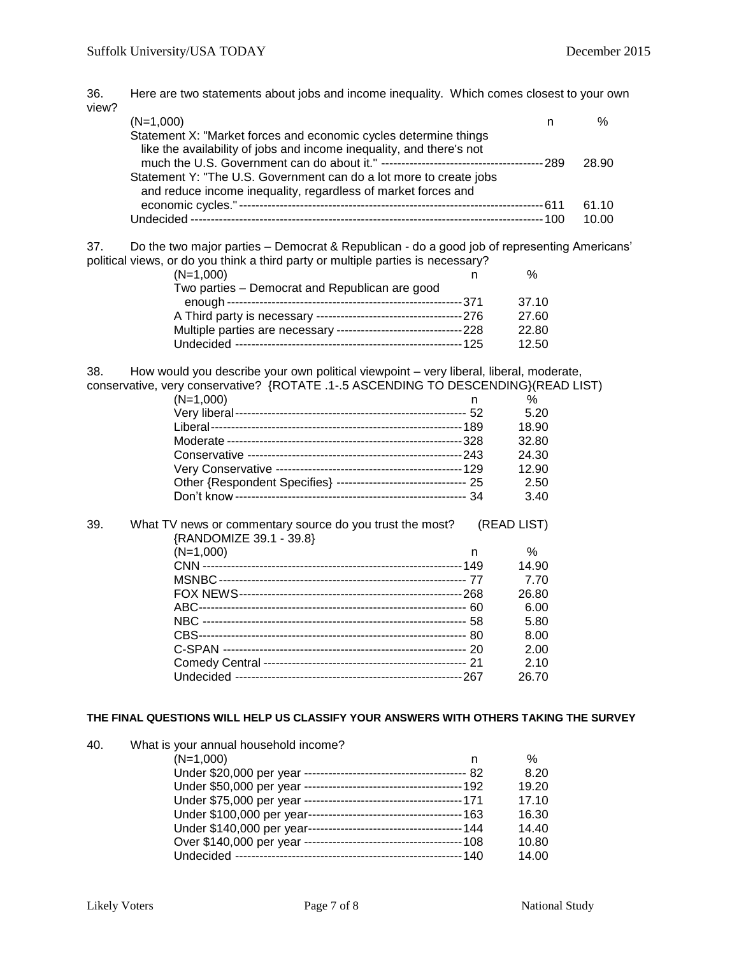36. Here are two statements about jobs and income inequality. Which comes closest to your own view?

| $(N=1,000)$                                                                                                                              | $\%$  |
|------------------------------------------------------------------------------------------------------------------------------------------|-------|
| Statement X: "Market forces and economic cycles determine things<br>like the availability of jobs and income inequality, and there's not | 28.90 |
| Statement Y: "The U.S. Government can do a lot more to create jobs<br>and reduce income inequality, regardless of market forces and      |       |
|                                                                                                                                          | 61.10 |
|                                                                                                                                          | 10.00 |

37. Do the two major parties – Democrat & Republican - do a good job of representing Americans' political views, or do you think a third party or multiple parties is necessary?

| $(N=1,000)$                                    | %     |
|------------------------------------------------|-------|
| Two parties - Democrat and Republican are good |       |
|                                                | 37.10 |
|                                                | 27.60 |
|                                                | 22.80 |
|                                                | 12.50 |

38. How would you describe your own political viewpoint – very liberal, liberal, moderate, conservative, very conservative? {ROTATE .1-.5 ASCENDING TO DESCENDING}(READ LIST)

|     | $(N=1,000)$                                                                         | n  | %           |
|-----|-------------------------------------------------------------------------------------|----|-------------|
|     |                                                                                     |    | 5.20        |
|     |                                                                                     |    | 18.90       |
|     |                                                                                     |    | 32.80       |
|     |                                                                                     |    | 24.30       |
|     |                                                                                     |    | 12.90       |
|     | Other {Respondent Specifies} -------------------------------- 25                    |    | 2.50        |
|     |                                                                                     |    | 3.40        |
| 39. | What TV news or commentary source do you trust the most?<br>{RANDOMIZE 39.1 - 39.8} |    | (READ LIST) |
|     | $(N=1,000)$                                                                         | n. | ℅           |
|     |                                                                                     |    | 14.90       |
|     |                                                                                     |    | 7.70        |
|     |                                                                                     |    | 26.80       |
|     |                                                                                     |    | 6.00        |
|     |                                                                                     |    | 5.80        |
|     |                                                                                     |    | 8.00        |
|     |                                                                                     |    | 2.00        |
|     |                                                                                     |    | 2.10        |
|     |                                                                                     |    | 26.70       |

#### **THE FINAL QUESTIONS WILL HELP US CLASSIFY YOUR ANSWERS WITH OTHERS TAKING THE SURVEY**

| 40. | What is your annual household income? |       |
|-----|---------------------------------------|-------|
|     | $(N=1,000)$<br>n                      | $\%$  |
|     |                                       | 8.20  |
|     |                                       | 19.20 |
|     |                                       | 17.10 |
|     |                                       | 16.30 |
|     |                                       | 14.40 |
|     |                                       | 10.80 |
|     |                                       | 14.00 |